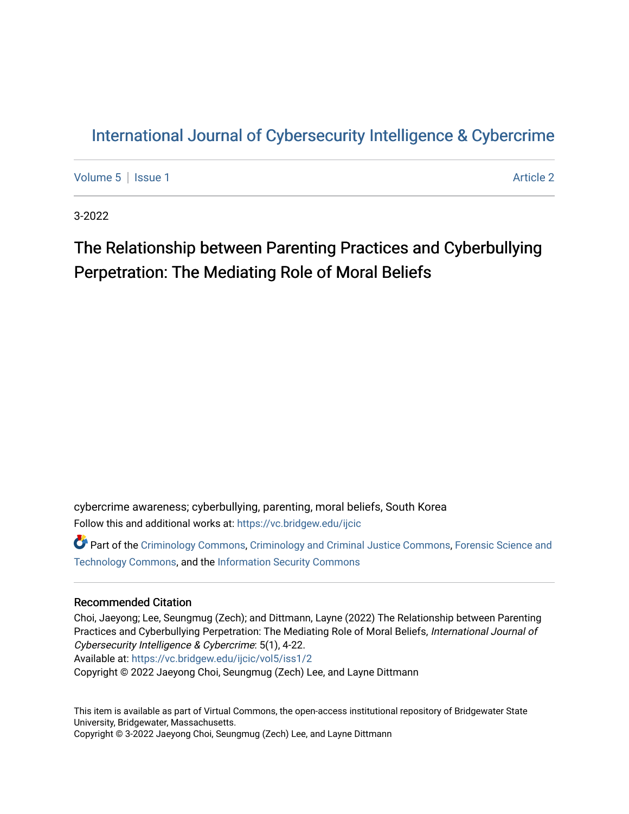## [International Journal of Cybersecurity Intelligence & Cybercrime](https://vc.bridgew.edu/ijcic)

[Volume 5](https://vc.bridgew.edu/ijcic/vol5) | [Issue 1](https://vc.bridgew.edu/ijcic/vol5/iss1) Article 2

3-2022

# The Relationship between Parenting Practices and Cyberbullying Perpetration: The Mediating Role of Moral Beliefs

cybercrime awareness; cyberbullying, parenting, moral beliefs, South Korea Follow this and additional works at: [https://vc.bridgew.edu/ijcic](https://vc.bridgew.edu/ijcic?utm_source=vc.bridgew.edu%2Fijcic%2Fvol5%2Fiss1%2F2&utm_medium=PDF&utm_campaign=PDFCoverPages) 

**Part of the [Criminology Commons](https://network.bepress.com/hgg/discipline/417?utm_source=vc.bridgew.edu%2Fijcic%2Fvol5%2Fiss1%2F2&utm_medium=PDF&utm_campaign=PDFCoverPages), [Criminology and Criminal Justice Commons,](https://network.bepress.com/hgg/discipline/367?utm_source=vc.bridgew.edu%2Fijcic%2Fvol5%2Fiss1%2F2&utm_medium=PDF&utm_campaign=PDFCoverPages) Forensic Science and** [Technology Commons,](https://network.bepress.com/hgg/discipline/1277?utm_source=vc.bridgew.edu%2Fijcic%2Fvol5%2Fiss1%2F2&utm_medium=PDF&utm_campaign=PDFCoverPages) and the [Information Security Commons](https://network.bepress.com/hgg/discipline/1247?utm_source=vc.bridgew.edu%2Fijcic%2Fvol5%2Fiss1%2F2&utm_medium=PDF&utm_campaign=PDFCoverPages) 

## Recommended Citation

Choi, Jaeyong; Lee, Seungmug (Zech); and Dittmann, Layne (2022) The Relationship between Parenting Practices and Cyberbullying Perpetration: The Mediating Role of Moral Beliefs, International Journal of Cybersecurity Intelligence & Cybercrime: 5(1), 4-22. Available at: [https://vc.bridgew.edu/ijcic/vol5/iss1/2](https://vc.bridgew.edu/ijcic/vol5/iss1/2?utm_source=vc.bridgew.edu%2Fijcic%2Fvol5%2Fiss1%2F2&utm_medium=PDF&utm_campaign=PDFCoverPages)  Copyright © 2022 Jaeyong Choi, Seungmug (Zech) Lee, and Layne Dittmann

This item is available as part of Virtual Commons, the open-access institutional repository of Bridgewater State University, Bridgewater, Massachusetts. Copyright © 3-2022 Jaeyong Choi, Seungmug (Zech) Lee, and Layne Dittmann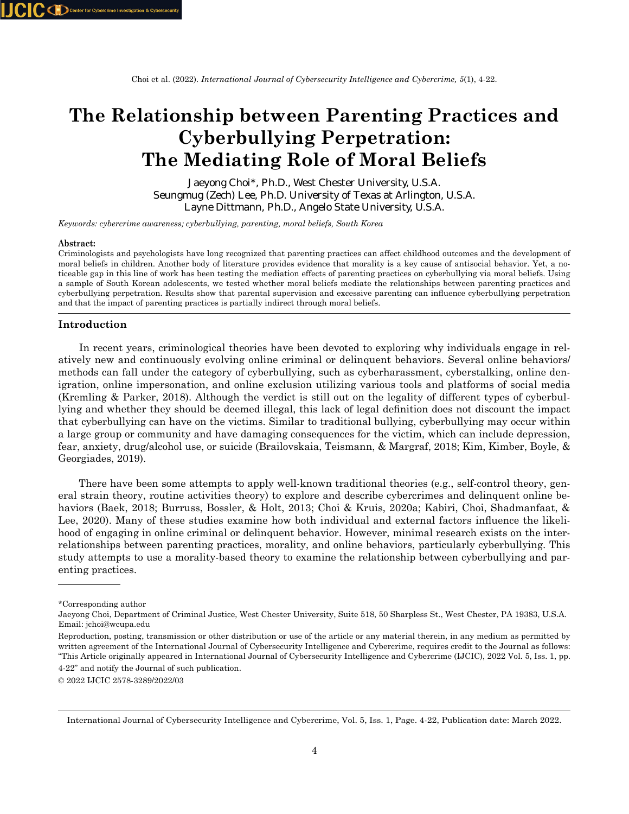# **The Relationship between Parenting Practices and Cyberbullying Perpetration: The Mediating Role of Moral Beliefs**

Jaeyong Choi\*, Ph.D., West Chester University, U.S.A. Seungmug (Zech) Lee, Ph.D. University of Texas at Arlington, U.S.A. Layne Dittmann, Ph.D., Angelo State University, U.S.A.

*Keywords: cybercrime awareness; cyberbullying, parenting, moral beliefs, South Korea*

#### **Abstract:**

Criminologists and psychologists have long recognized that parenting practices can affect childhood outcomes and the development of moral beliefs in children. Another body of literature provides evidence that morality is a key cause of antisocial behavior. Yet, a noticeable gap in this line of work has been testing the mediation effects of parenting practices on cyberbullying via moral beliefs. Using a sample of South Korean adolescents, we tested whether moral beliefs mediate the relationships between parenting practices and cyberbullying perpetration. Results show that parental supervision and excessive parenting can influence cyberbullying perpetration and that the impact of parenting practices is partially indirect through moral beliefs.

#### **Introduction**

 In recent years, criminological theories have been devoted to exploring why individuals engage in relatively new and continuously evolving online criminal or delinquent behaviors. Several online behaviors/ methods can fall under the category of cyberbullying, such as cyberharassment, cyberstalking, online denigration, online impersonation, and online exclusion utilizing various tools and platforms of social media (Kremling & Parker, 2018). Although the verdict is still out on the legality of different types of cyberbullying and whether they should be deemed illegal, this lack of legal definition does not discount the impact that cyberbullying can have on the victims. Similar to traditional bullying, cyberbullying may occur within a large group or community and have damaging consequences for the victim, which can include depression, fear, anxiety, drug/alcohol use, or suicide (Brailovskaia, Teismann, & Margraf, 2018; Kim, Kimber, Boyle, & Georgiades, 2019).

 There have been some attempts to apply well-known traditional theories (e.g., self-control theory, general strain theory, routine activities theory) to explore and describe cybercrimes and delinquent online behaviors (Baek, 2018; Burruss, Bossler, & Holt, 2013; Choi & Kruis, 2020a; Kabiri, Choi, Shadmanfaat, & Lee, 2020). Many of these studies examine how both individual and external factors influence the likelihood of engaging in online criminal or delinquent behavior. However, minimal research exists on the interrelationships between parenting practices, morality, and online behaviors, particularly cyberbullying. This study attempts to use a morality-based theory to examine the relationship between cyberbullying and parenting practices.

<sup>\*</sup>Corresponding author

Jaeyong Choi, Department of Criminal Justice, West Chester University, Suite 518, 50 Sharpless St., West Chester, PA 19383, U.S.A. Email: jchoi@wcupa.edu

Reproduction, posting, transmission or other distribution or use of the article or any material therein, in any medium as permitted by written agreement of the International Journal of Cybersecurity Intelligence and Cybercrime, requires credit to the Journal as follows: "This Article originally appeared in International Journal of Cybersecurity Intelligence and Cybercrime (IJCIC), 2022 Vol. 5, Iss. 1, pp. 4-22" and notify the Journal of such publication.

<sup>© 2022</sup> IJCIC 2578-3289/2022/03

International Journal of Cybersecurity Intelligence and Cybercrime, Vol. 5, Iss. 1, Page. 4-22, Publication date: March 2022.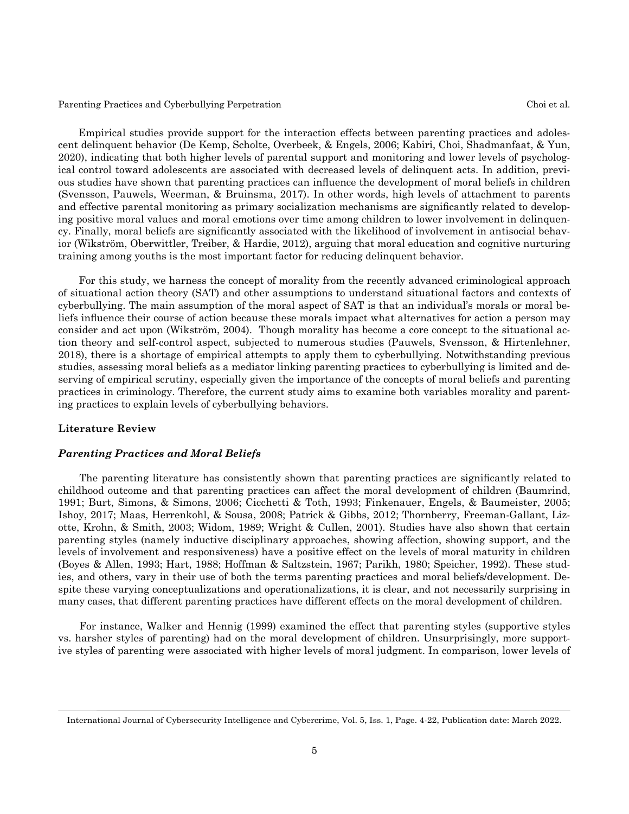Empirical studies provide support for the interaction effects between parenting practices and adolescent delinquent behavior (De Kemp, Scholte, Overbeek, & Engels, 2006; Kabiri, Choi, Shadmanfaat, & Yun, 2020), indicating that both higher levels of parental support and monitoring and lower levels of psychological control toward adolescents are associated with decreased levels of delinquent acts. In addition, previous studies have shown that parenting practices can influence the development of moral beliefs in children (Svensson, Pauwels, Weerman, & Bruinsma, 2017). In other words, high levels of attachment to parents and effective parental monitoring as primary socialization mechanisms are significantly related to developing positive moral values and moral emotions over time among children to lower involvement in delinquency. Finally, moral beliefs are significantly associated with the likelihood of involvement in antisocial behavior (Wikström, Oberwittler, Treiber, & Hardie, 2012), arguing that moral education and cognitive nurturing training among youths is the most important factor for reducing delinquent behavior.

 For this study, we harness the concept of morality from the recently advanced criminological approach of situational action theory (SAT) and other assumptions to understand situational factors and contexts of cyberbullying. The main assumption of the moral aspect of SAT is that an individual's morals or moral beliefs influence their course of action because these morals impact what alternatives for action a person may consider and act upon (Wikström, 2004). Though morality has become a core concept to the situational action theory and self-control aspect, subjected to numerous studies (Pauwels, Svensson, & Hirtenlehner, 2018), there is a shortage of empirical attempts to apply them to cyberbullying. Notwithstanding previous studies, assessing moral beliefs as a mediator linking parenting practices to cyberbullying is limited and deserving of empirical scrutiny, especially given the importance of the concepts of moral beliefs and parenting practices in criminology. Therefore, the current study aims to examine both variables morality and parenting practices to explain levels of cyberbullying behaviors.

## **Literature Review**

#### *Parenting Practices and Moral Beliefs*

 The parenting literature has consistently shown that parenting practices are significantly related to childhood outcome and that parenting practices can affect the moral development of children (Baumrind, 1991; Burt, Simons, & Simons, 2006; Cicchetti & Toth, 1993; Finkenauer, Engels, & Baumeister, 2005; Ishoy, 2017; Maas, Herrenkohl, & Sousa, 2008; Patrick & Gibbs, 2012; Thornberry, Freeman-Gallant, Lizotte, Krohn, & Smith, 2003; Widom, 1989; Wright & Cullen, 2001). Studies have also shown that certain parenting styles (namely inductive disciplinary approaches, showing affection, showing support, and the levels of involvement and responsiveness) have a positive effect on the levels of moral maturity in children (Boyes & Allen, 1993; Hart, 1988; Hoffman & Saltzstein, 1967; Parikh, 1980; Speicher, 1992). These studies, and others, vary in their use of both the terms parenting practices and moral beliefs/development. Despite these varying conceptualizations and operationalizations, it is clear, and not necessarily surprising in many cases, that different parenting practices have different effects on the moral development of children.

 For instance, Walker and Hennig (1999) examined the effect that parenting styles (supportive styles vs. harsher styles of parenting) had on the moral development of children. Unsurprisingly, more supportive styles of parenting were associated with higher levels of moral judgment. In comparison, lower levels of

International Journal of Cybersecurity Intelligence and Cybercrime, Vol. 5, Iss. 1, Page. 4-22, Publication date: March 2022.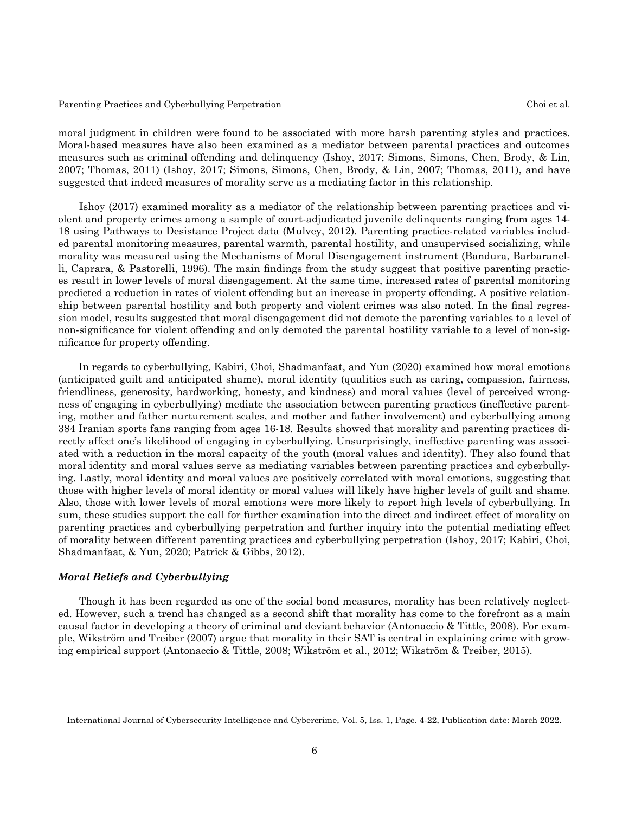moral judgment in children were found to be associated with more harsh parenting styles and practices. Moral-based measures have also been examined as a mediator between parental practices and outcomes measures such as criminal offending and delinquency (Ishoy, 2017; Simons, Simons, Chen, Brody, & Lin, 2007; Thomas, 2011) (Ishoy, 2017; Simons, Simons, Chen, Brody, & Lin, 2007; Thomas, 2011), and have suggested that indeed measures of morality serve as a mediating factor in this relationship.

 Ishoy (2017) examined morality as a mediator of the relationship between parenting practices and violent and property crimes among a sample of court-adjudicated juvenile delinquents ranging from ages 14- 18 using Pathways to Desistance Project data (Mulvey, 2012). Parenting practice-related variables included parental monitoring measures, parental warmth, parental hostility, and unsupervised socializing, while morality was measured using the Mechanisms of Moral Disengagement instrument (Bandura, Barbaranelli, Caprara, & Pastorelli, 1996). The main findings from the study suggest that positive parenting practices result in lower levels of moral disengagement. At the same time, increased rates of parental monitoring predicted a reduction in rates of violent offending but an increase in property offending. A positive relationship between parental hostility and both property and violent crimes was also noted. In the final regression model, results suggested that moral disengagement did not demote the parenting variables to a level of non-significance for violent offending and only demoted the parental hostility variable to a level of non-significance for property offending.

 In regards to cyberbullying, Kabiri, Choi, Shadmanfaat, and Yun (2020) examined how moral emotions (anticipated guilt and anticipated shame), moral identity (qualities such as caring, compassion, fairness, friendliness, generosity, hardworking, honesty, and kindness) and moral values (level of perceived wrongness of engaging in cyberbullying) mediate the association between parenting practices (ineffective parenting, mother and father nurturement scales, and mother and father involvement) and cyberbullying among 384 Iranian sports fans ranging from ages 16-18. Results showed that morality and parenting practices directly affect one's likelihood of engaging in cyberbullying. Unsurprisingly, ineffective parenting was associated with a reduction in the moral capacity of the youth (moral values and identity). They also found that moral identity and moral values serve as mediating variables between parenting practices and cyberbullying. Lastly, moral identity and moral values are positively correlated with moral emotions, suggesting that those with higher levels of moral identity or moral values will likely have higher levels of guilt and shame. Also, those with lower levels of moral emotions were more likely to report high levels of cyberbullying. In sum, these studies support the call for further examination into the direct and indirect effect of morality on parenting practices and cyberbullying perpetration and further inquiry into the potential mediating effect of morality between different parenting practices and cyberbullying perpetration (Ishoy, 2017; Kabiri, Choi, Shadmanfaat, & Yun, 2020; Patrick & Gibbs, 2012).

## *Moral Beliefs and Cyberbullying*

 Though it has been regarded as one of the social bond measures, morality has been relatively neglected. However, such a trend has changed as a second shift that morality has come to the forefront as a main causal factor in developing a theory of criminal and deviant behavior (Antonaccio & Tittle, 2008). For example, Wikström and Treiber (2007) argue that morality in their SAT is central in explaining crime with growing empirical support (Antonaccio & Tittle, 2008; Wikström et al., 2012; Wikström & Treiber, 2015).

International Journal of Cybersecurity Intelligence and Cybercrime, Vol. 5, Iss. 1, Page. 4-22, Publication date: March 2022.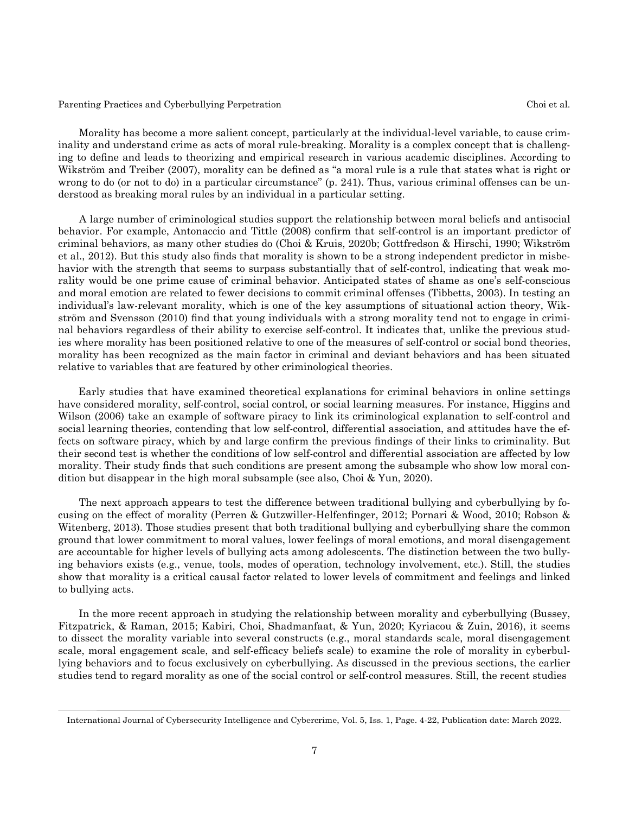Morality has become a more salient concept, particularly at the individual-level variable, to cause criminality and understand crime as acts of moral rule-breaking. Morality is a complex concept that is challenging to define and leads to theorizing and empirical research in various academic disciplines. According to Wikström and Treiber (2007), morality can be defined as "a moral rule is a rule that states what is right or wrong to do (or not to do) in a particular circumstance" (p. 241). Thus, various criminal offenses can be understood as breaking moral rules by an individual in a particular setting.

 A large number of criminological studies support the relationship between moral beliefs and antisocial behavior. For example, Antonaccio and Tittle (2008) confirm that self-control is an important predictor of criminal behaviors, as many other studies do (Choi & Kruis, 2020b; Gottfredson & Hirschi, 1990; Wikström et al., 2012). But this study also finds that morality is shown to be a strong independent predictor in misbehavior with the strength that seems to surpass substantially that of self-control, indicating that weak morality would be one prime cause of criminal behavior. Anticipated states of shame as one's self-conscious and moral emotion are related to fewer decisions to commit criminal offenses (Tibbetts, 2003). In testing an individual's law-relevant morality, which is one of the key assumptions of situational action theory, Wikström and Svensson (2010) find that young individuals with a strong morality tend not to engage in criminal behaviors regardless of their ability to exercise self-control. It indicates that, unlike the previous studies where morality has been positioned relative to one of the measures of self-control or social bond theories, morality has been recognized as the main factor in criminal and deviant behaviors and has been situated relative to variables that are featured by other criminological theories.

 Early studies that have examined theoretical explanations for criminal behaviors in online settings have considered morality, self-control, social control, or social learning measures. For instance, Higgins and Wilson (2006) take an example of software piracy to link its criminological explanation to self-control and social learning theories, contending that low self-control, differential association, and attitudes have the effects on software piracy, which by and large confirm the previous findings of their links to criminality. But their second test is whether the conditions of low self-control and differential association are affected by low morality. Their study finds that such conditions are present among the subsample who show low moral condition but disappear in the high moral subsample (see also, Choi & Yun, 2020).

 The next approach appears to test the difference between traditional bullying and cyberbullying by focusing on the effect of morality (Perren & Gutzwiller-Helfenfinger, 2012; Pornari & Wood, 2010; Robson & Witenberg, 2013). Those studies present that both traditional bullying and cyberbullying share the common ground that lower commitment to moral values, lower feelings of moral emotions, and moral disengagement are accountable for higher levels of bullying acts among adolescents. The distinction between the two bullying behaviors exists (e.g., venue, tools, modes of operation, technology involvement, etc.). Still, the studies show that morality is a critical causal factor related to lower levels of commitment and feelings and linked to bullying acts.

 In the more recent approach in studying the relationship between morality and cyberbullying (Bussey, Fitzpatrick, & Raman, 2015; Kabiri, Choi, Shadmanfaat, & Yun, 2020; Kyriacou & Zuin, 2016), it seems to dissect the morality variable into several constructs (e.g., moral standards scale, moral disengagement scale, moral engagement scale, and self-efficacy beliefs scale) to examine the role of morality in cyberbullying behaviors and to focus exclusively on cyberbullying. As discussed in the previous sections, the earlier studies tend to regard morality as one of the social control or self-control measures. Still, the recent studies

International Journal of Cybersecurity Intelligence and Cybercrime, Vol. 5, Iss. 1, Page. 4-22, Publication date: March 2022.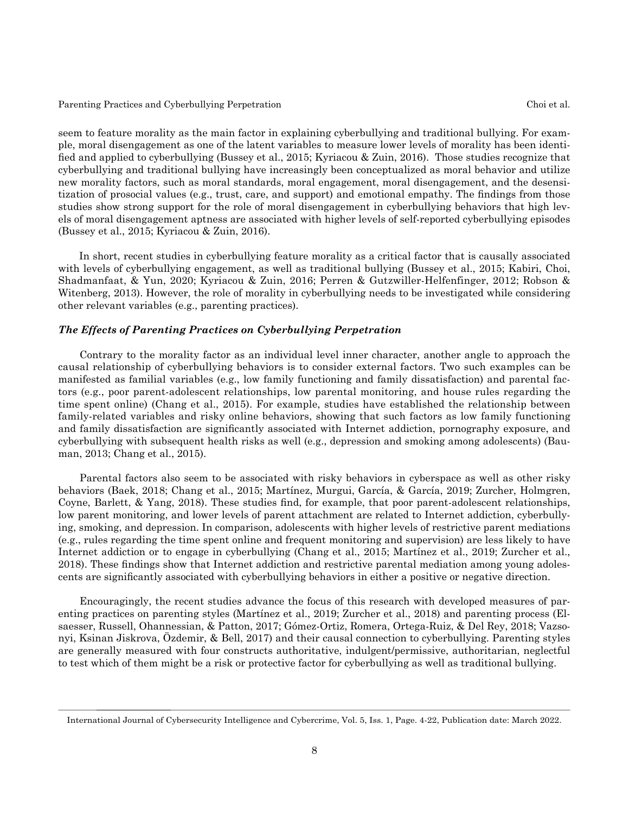seem to feature morality as the main factor in explaining cyberbullying and traditional bullying. For example, moral disengagement as one of the latent variables to measure lower levels of morality has been identified and applied to cyberbullying (Bussey et al., 2015; Kyriacou & Zuin, 2016). Those studies recognize that cyberbullying and traditional bullying have increasingly been conceptualized as moral behavior and utilize new morality factors, such as moral standards, moral engagement, moral disengagement, and the desensitization of prosocial values (e.g., trust, care, and support) and emotional empathy. The findings from those studies show strong support for the role of moral disengagement in cyberbullying behaviors that high levels of moral disengagement aptness are associated with higher levels of self-reported cyberbullying episodes (Bussey et al., 2015; Kyriacou & Zuin, 2016).

 In short, recent studies in cyberbullying feature morality as a critical factor that is causally associated with levels of cyberbullying engagement, as well as traditional bullying (Bussey et al., 2015; Kabiri, Choi, Shadmanfaat, & Yun, 2020; Kyriacou & Zuin, 2016; Perren & Gutzwiller-Helfenfinger, 2012; Robson & Witenberg, 2013). However, the role of morality in cyberbullying needs to be investigated while considering other relevant variables (e.g., parenting practices).

### *The Effects of Parenting Practices on Cyberbullying Perpetration*

 Contrary to the morality factor as an individual level inner character, another angle to approach the causal relationship of cyberbullying behaviors is to consider external factors. Two such examples can be manifested as familial variables (e.g., low family functioning and family dissatisfaction) and parental factors (e.g., poor parent-adolescent relationships, low parental monitoring, and house rules regarding the time spent online) (Chang et al., 2015). For example, studies have established the relationship between family-related variables and risky online behaviors, showing that such factors as low family functioning and family dissatisfaction are significantly associated with Internet addiction, pornography exposure, and cyberbullying with subsequent health risks as well (e.g., depression and smoking among adolescents) (Bauman, 2013; Chang et al., 2015).

 Parental factors also seem to be associated with risky behaviors in cyberspace as well as other risky behaviors (Baek, 2018; Chang et al., 2015; Martínez, Murgui, García, & García, 2019; Zurcher, Holmgren, Coyne, Barlett, & Yang, 2018). These studies find, for example, that poor parent-adolescent relationships, low parent monitoring, and lower levels of parent attachment are related to Internet addiction, cyberbullying, smoking, and depression. In comparison, adolescents with higher levels of restrictive parent mediations (e.g., rules regarding the time spent online and frequent monitoring and supervision) are less likely to have Internet addiction or to engage in cyberbullying (Chang et al., 2015; Martínez et al., 2019; Zurcher et al., 2018). These findings show that Internet addiction and restrictive parental mediation among young adolescents are significantly associated with cyberbullying behaviors in either a positive or negative direction.

 Encouragingly, the recent studies advance the focus of this research with developed measures of parenting practices on parenting styles (Martínez et al., 2019; Zurcher et al., 2018) and parenting process (Elsaesser, Russell, Ohannessian, & Patton, 2017; Gómez-Ortiz, Romera, Ortega-Ruiz, & Del Rey, 2018; Vazsonyi, Ksinan Jiskrova, Özdemir, & Bell, 2017) and their causal connection to cyberbullying. Parenting styles are generally measured with four constructs authoritative, indulgent/permissive, authoritarian, neglectful to test which of them might be a risk or protective factor for cyberbullying as well as traditional bullying.

International Journal of Cybersecurity Intelligence and Cybercrime, Vol. 5, Iss. 1, Page. 4-22, Publication date: March 2022.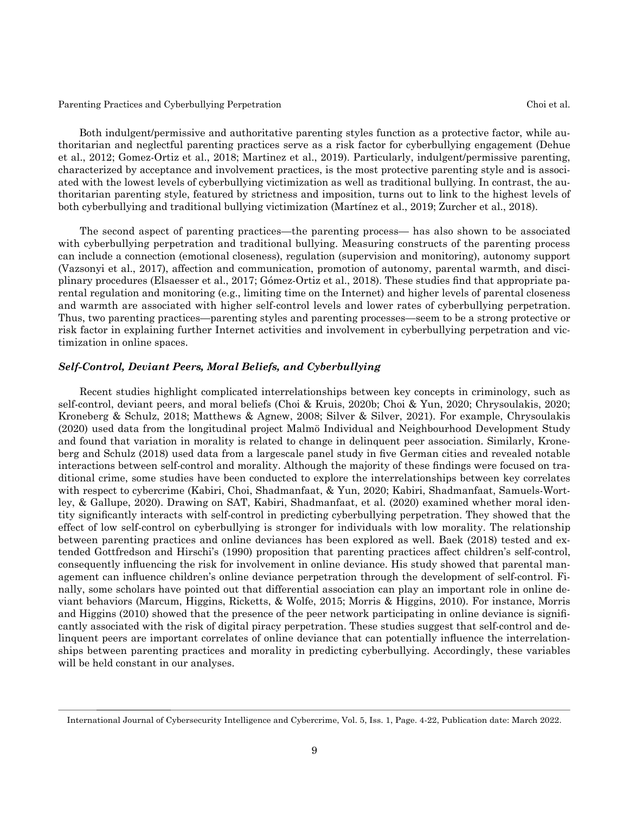Both indulgent/permissive and authoritative parenting styles function as a protective factor, while authoritarian and neglectful parenting practices serve as a risk factor for cyberbullying engagement (Dehue et al., 2012; Gomez-Ortiz et al., 2018; Martinez et al., 2019). Particularly, indulgent/permissive parenting, characterized by acceptance and involvement practices, is the most protective parenting style and is associated with the lowest levels of cyberbullying victimization as well as traditional bullying. In contrast, the authoritarian parenting style, featured by strictness and imposition, turns out to link to the highest levels of both cyberbullying and traditional bullying victimization (Martínez et al., 2019; Zurcher et al., 2018).

 The second aspect of parenting practices—the parenting process— has also shown to be associated with cyberbullying perpetration and traditional bullying. Measuring constructs of the parenting process can include a connection (emotional closeness), regulation (supervision and monitoring), autonomy support (Vazsonyi et al., 2017), affection and communication, promotion of autonomy, parental warmth, and disciplinary procedures (Elsaesser et al., 2017; Gómez-Ortiz et al., 2018). These studies find that appropriate parental regulation and monitoring (e.g., limiting time on the Internet) and higher levels of parental closeness and warmth are associated with higher self-control levels and lower rates of cyberbullying perpetration. Thus, two parenting practices—parenting styles and parenting processes—seem to be a strong protective or risk factor in explaining further Internet activities and involvement in cyberbullying perpetration and victimization in online spaces.

## *Self-Control, Deviant Peers, Moral Beliefs, and Cyberbullying*

 Recent studies highlight complicated interrelationships between key concepts in criminology, such as self-control, deviant peers, and moral beliefs (Choi & Kruis, 2020b; Choi & Yun, 2020; Chrysoulakis, 2020; Kroneberg & Schulz, 2018; Matthews & Agnew, 2008; Silver & Silver, 2021). For example, Chrysoulakis (2020) used data from the longitudinal project Malmö Individual and Neighbourhood Development Study and found that variation in morality is related to change in delinquent peer association. Similarly, Kroneberg and Schulz (2018) used data from a largescale panel study in five German cities and revealed notable interactions between self-control and morality. Although the majority of these findings were focused on traditional crime, some studies have been conducted to explore the interrelationships between key correlates with respect to cybercrime (Kabiri, Choi, Shadmanfaat, & Yun, 2020; Kabiri, Shadmanfaat, Samuels-Wortley, & Gallupe, 2020). Drawing on SAT, Kabiri, Shadmanfaat, et al. (2020) examined whether moral identity significantly interacts with self-control in predicting cyberbullying perpetration. They showed that the effect of low self-control on cyberbullying is stronger for individuals with low morality. The relationship between parenting practices and online deviances has been explored as well. Baek (2018) tested and extended Gottfredson and Hirschi's (1990) proposition that parenting practices affect children's self-control, consequently influencing the risk for involvement in online deviance. His study showed that parental management can influence children's online deviance perpetration through the development of self-control. Finally, some scholars have pointed out that differential association can play an important role in online deviant behaviors (Marcum, Higgins, Ricketts, & Wolfe, 2015; Morris & Higgins, 2010). For instance, Morris and Higgins (2010) showed that the presence of the peer network participating in online deviance is significantly associated with the risk of digital piracy perpetration. These studies suggest that self-control and delinquent peers are important correlates of online deviance that can potentially influence the interrelationships between parenting practices and morality in predicting cyberbullying. Accordingly, these variables will be held constant in our analyses.

International Journal of Cybersecurity Intelligence and Cybercrime, Vol. 5, Iss. 1, Page. 4-22, Publication date: March 2022.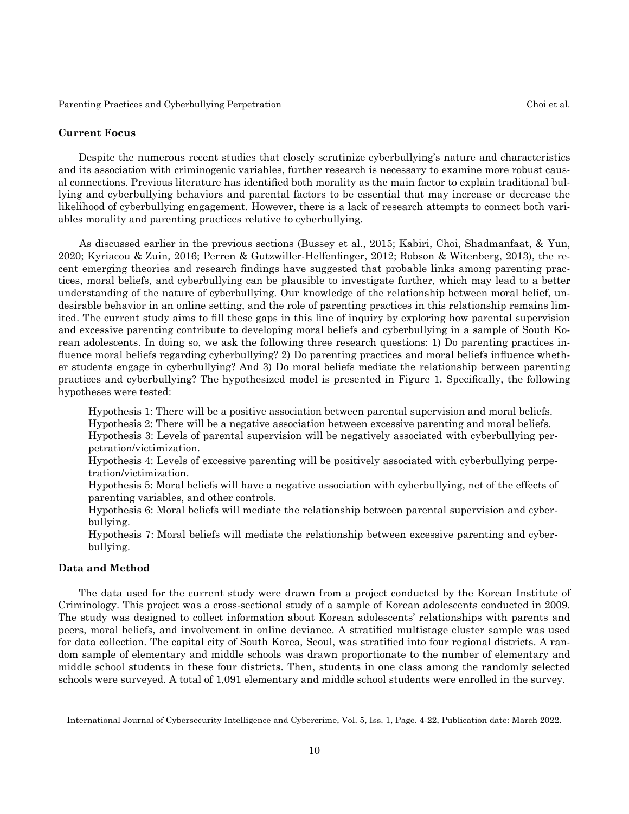#### **Current Focus**

 Despite the numerous recent studies that closely scrutinize cyberbullying's nature and characteristics and its association with criminogenic variables, further research is necessary to examine more robust causal connections. Previous literature has identified both morality as the main factor to explain traditional bullying and cyberbullying behaviors and parental factors to be essential that may increase or decrease the likelihood of cyberbullying engagement. However, there is a lack of research attempts to connect both variables morality and parenting practices relative to cyberbullying.

 As discussed earlier in the previous sections (Bussey et al., 2015; Kabiri, Choi, Shadmanfaat, & Yun, 2020; Kyriacou & Zuin, 2016; Perren & Gutzwiller-Helfenfinger, 2012; Robson & Witenberg, 2013), the recent emerging theories and research findings have suggested that probable links among parenting practices, moral beliefs, and cyberbullying can be plausible to investigate further, which may lead to a better understanding of the nature of cyberbullying. Our knowledge of the relationship between moral belief, undesirable behavior in an online setting, and the role of parenting practices in this relationship remains limited. The current study aims to fill these gaps in this line of inquiry by exploring how parental supervision and excessive parenting contribute to developing moral beliefs and cyberbullying in a sample of South Korean adolescents. In doing so, we ask the following three research questions: 1) Do parenting practices influence moral beliefs regarding cyberbullying? 2) Do parenting practices and moral beliefs influence whether students engage in cyberbullying? And 3) Do moral beliefs mediate the relationship between parenting practices and cyberbullying? The hypothesized model is presented in Figure 1. Specifically, the following hypotheses were tested:

Hypothesis 1: There will be a positive association between parental supervision and moral beliefs.

Hypothesis 2: There will be a negative association between excessive parenting and moral beliefs.

Hypothesis 3: Levels of parental supervision will be negatively associated with cyberbullying perpetration/victimization.

Hypothesis 4: Levels of excessive parenting will be positively associated with cyberbullying perpetration/victimization.

Hypothesis 5: Moral beliefs will have a negative association with cyberbullying, net of the effects of parenting variables, and other controls.

Hypothesis 6: Moral beliefs will mediate the relationship between parental supervision and cyberbullying.

Hypothesis 7: Moral beliefs will mediate the relationship between excessive parenting and cyberbullying.

## **Data and Method**

 The data used for the current study were drawn from a project conducted by the Korean Institute of Criminology. This project was a cross-sectional study of a sample of Korean adolescents conducted in 2009. The study was designed to collect information about Korean adolescents' relationships with parents and peers, moral beliefs, and involvement in online deviance. A stratified multistage cluster sample was used for data collection. The capital city of South Korea, Seoul, was stratified into four regional districts. A random sample of elementary and middle schools was drawn proportionate to the number of elementary and middle school students in these four districts. Then, students in one class among the randomly selected schools were surveyed. A total of 1,091 elementary and middle school students were enrolled in the survey.

International Journal of Cybersecurity Intelligence and Cybercrime, Vol. 5, Iss. 1, Page. 4-22, Publication date: March 2022.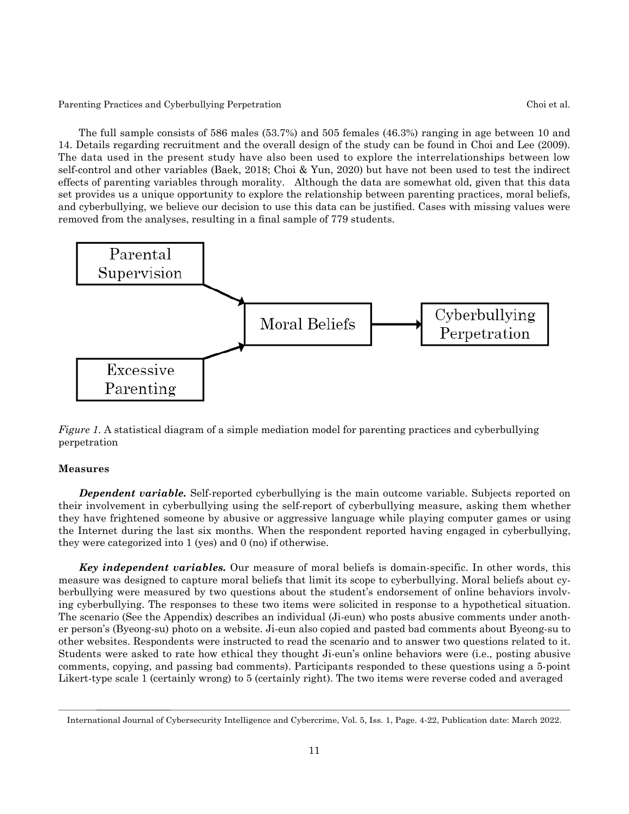The full sample consists of 586 males (53.7%) and 505 females (46.3%) ranging in age between 10 and 14. Details regarding recruitment and the overall design of the study can be found in Choi and Lee (2009). The data used in the present study have also been used to explore the interrelationships between low self-control and other variables (Baek, 2018; Choi & Yun, 2020) but have not been used to test the indirect effects of parenting variables through morality. Although the data are somewhat old, given that this data set provides us a unique opportunity to explore the relationship between parenting practices, moral beliefs, and cyberbullying, we believe our decision to use this data can be justified. Cases with missing values were removed from the analyses, resulting in a final sample of 779 students.



*Figure 1*. A statistical diagram of a simple mediation model for parenting practices and cyberbullying perpetration

## **Measures**

**Dependent variable.** Self-reported cyberbullying is the main outcome variable. Subjects reported on their involvement in cyberbullying using the self-report of cyberbullying measure, asking them whether they have frightened someone by abusive or aggressive language while playing computer games or using the Internet during the last six months. When the respondent reported having engaged in cyberbullying, they were categorized into 1 (yes) and 0 (no) if otherwise.

*Key independent variables.* Our measure of moral beliefs is domain-specific. In other words, this measure was designed to capture moral beliefs that limit its scope to cyberbullying. Moral beliefs about cyberbullying were measured by two questions about the student's endorsement of online behaviors involving cyberbullying. The responses to these two items were solicited in response to a hypothetical situation. The scenario (See the Appendix) describes an individual (Ji-eun) who posts abusive comments under another person's (Byeong-su) photo on a website. Ji-eun also copied and pasted bad comments about Byeong-su to other websites. Respondents were instructed to read the scenario and to answer two questions related to it. Students were asked to rate how ethical they thought Ji-eun's online behaviors were (i.e., posting abusive comments, copying, and passing bad comments). Participants responded to these questions using a 5-point Likert-type scale 1 (certainly wrong) to 5 (certainly right). The two items were reverse coded and averaged

International Journal of Cybersecurity Intelligence and Cybercrime, Vol. 5, Iss. 1, Page. 4-22, Publication date: March 2022.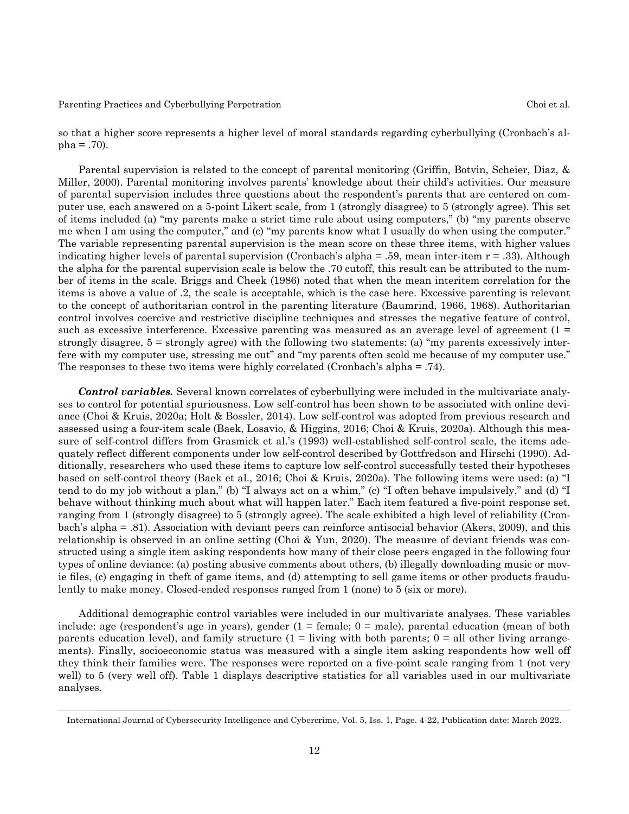so that a higher score represents a higher level of moral standards regarding cyberbullying (Cronbach's al $pha = .70$ ).

 Parental supervision is related to the concept of parental monitoring (Griffin, Botvin, Scheier, Diaz, & Miller, 2000). Parental monitoring involves parents' knowledge about their child's activities. Our measure of parental supervision includes three questions about the respondent's parents that are centered on computer use, each answered on a 5-point Likert scale, from 1 (strongly disagree) to 5 (strongly agree). This set of items included (a) "my parents make a strict time rule about using computers," (b) "my parents observe me when I am using the computer," and (c) "my parents know what I usually do when using the computer." The variable representing parental supervision is the mean score on these three items, with higher values indicating higher levels of parental supervision (Cronbach's alpha = .59, mean inter-item r = .33). Although the alpha for the parental supervision scale is below the .70 cutoff, this result can be attributed to the number of items in the scale. Briggs and Cheek (1986) noted that when the mean interitem correlation for the items is above a value of .2, the scale is acceptable, which is the case here. Excessive parenting is relevant to the concept of authoritarian control in the parenting literature (Baumrind, 1966, 1968). Authoritarian control involves coercive and restrictive discipline techniques and stresses the negative feature of control, such as excessive interference. Excessive parenting was measured as an average level of agreement (1 = strongly disagree, 5 = strongly agree) with the following two statements: (a) "my parents excessively interfere with my computer use, stressing me out" and "my parents often scold me because of my computer use." The responses to these two items were highly correlated (Cronbach's alpha = .74).

*Control variables.* Several known correlates of cyberbullying were included in the multivariate analyses to control for potential spuriousness. Low self-control has been shown to be associated with online deviance (Choi & Kruis, 2020a; Holt & Bossler, 2014). Low self-control was adopted from previous research and assessed using a four-item scale (Baek, Losavio, & Higgins, 2016; Choi & Kruis, 2020a). Although this measure of self-control differs from Grasmick et al.'s (1993) well-established self-control scale, the items adequately reflect different components under low self-control described by Gottfredson and Hirschi (1990). Additionally, researchers who used these items to capture low self-control successfully tested their hypotheses based on self-control theory (Baek et al., 2016; Choi & Kruis, 2020a). The following items were used: (a) "I tend to do my job without a plan," (b) "I always act on a whim," (c) "I often behave impulsively," and (d) "I behave without thinking much about what will happen later." Each item featured a five-point response set, ranging from 1 (strongly disagree) to 5 (strongly agree). The scale exhibited a high level of reliability (Cronbach's alpha = .81). Association with deviant peers can reinforce antisocial behavior (Akers, 2009), and this relationship is observed in an online setting (Choi & Yun, 2020). The measure of deviant friends was constructed using a single item asking respondents how many of their close peers engaged in the following four types of online deviance: (a) posting abusive comments about others, (b) illegally downloading music or movie files, (c) engaging in theft of game items, and (d) attempting to sell game items or other products fraudulently to make money. Closed-ended responses ranged from 1 (none) to 5 (six or more).

 Additional demographic control variables were included in our multivariate analyses. These variables include: age (respondent's age in years), gender  $(1 = \text{female}; 0 = \text{male})$ , parental education (mean of both parents education level), and family structure  $(1 =$  living with both parents;  $0 =$  all other living arrangements). Finally, socioeconomic status was measured with a single item asking respondents how well off they think their families were. The responses were reported on a five-point scale ranging from 1 (not very well) to 5 (very well off). Table 1 displays descriptive statistics for all variables used in our multivariate analyses.

International Journal of Cybersecurity Intelligence and Cybercrime, Vol. 5, Iss. 1, Page. 4-22, Publication date: March 2022.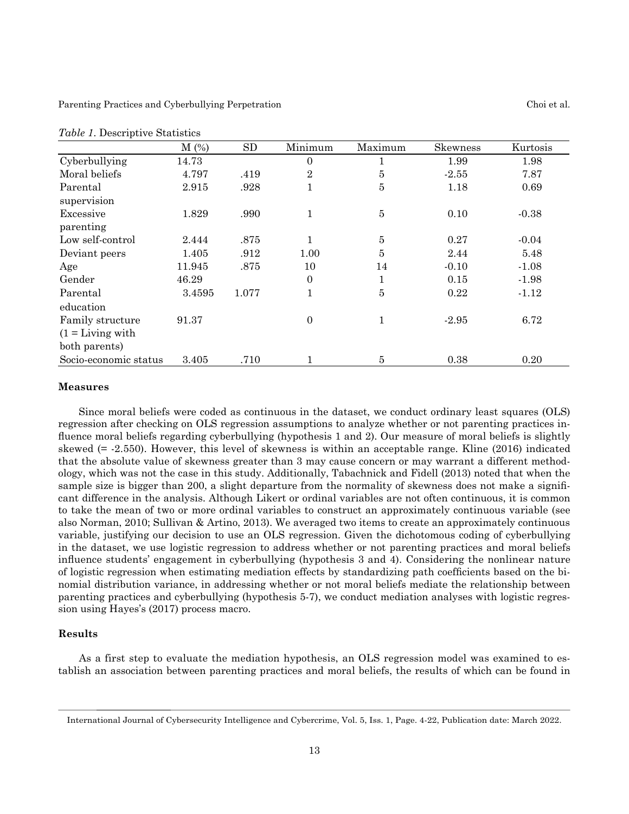|                                        | $M(\%)$ | <b>SD</b> | Minimum        | Maximum        | Skewness | Kurtosis |
|----------------------------------------|---------|-----------|----------------|----------------|----------|----------|
| Cyberbullying                          | 14.73   |           | $\theta$       |                | 1.99     | 1.98     |
| Moral beliefs                          | 4.797   | .419      | $\overline{2}$ | 5              | $-2.55$  | 7.87     |
| Parental<br>supervision                | 2.915   | .928      | 1              | 5              | 1.18     | 0.69     |
| Excessive<br>parenting                 | 1.829   | .990      | $\mathbf{1}$   | $\overline{5}$ | 0.10     | $-0.38$  |
| Low self-control                       | 2.444   | .875      | 1              | $\bf 5$        | 0.27     | $-0.04$  |
| Deviant peers                          | 1.405   | .912      | 1.00           | 5              | 2.44     | 5.48     |
| Age                                    | 11.945  | .875      | 10             | 14             | $-0.10$  | $-1.08$  |
| Gender                                 | 46.29   |           | $\theta$       |                | 0.15     | $-1.98$  |
| Parental                               | 3.4595  | 1.077     | $\mathbf{1}$   | 5              | 0.22     | $-1.12$  |
| education                              |         |           |                |                |          |          |
| Family structure                       | 91.37   |           | $\overline{0}$ | 1              | $-2.95$  | 6.72     |
| $(1 = \text{Living with})$             |         |           |                |                |          |          |
| both parents)<br>Socio-economic status | 3.405   | .710      |                | 5              | 0.38     | 0.20     |
|                                        |         |           |                |                |          |          |

|  |  |  | Table 1. Descriptive Statistics |
|--|--|--|---------------------------------|
|--|--|--|---------------------------------|

#### **Measures**

 Since moral beliefs were coded as continuous in the dataset, we conduct ordinary least squares (OLS) regression after checking on OLS regression assumptions to analyze whether or not parenting practices influence moral beliefs regarding cyberbullying (hypothesis 1 and 2). Our measure of moral beliefs is slightly skewed (= -2.550). However, this level of skewness is within an acceptable range. Kline (2016) indicated that the absolute value of skewness greater than 3 may cause concern or may warrant a different methodology, which was not the case in this study. Additionally, Tabachnick and Fidell (2013) noted that when the sample size is bigger than 200, a slight departure from the normality of skewness does not make a significant difference in the analysis. Although Likert or ordinal variables are not often continuous, it is common to take the mean of two or more ordinal variables to construct an approximately continuous variable (see also Norman, 2010; Sullivan & Artino, 2013). We averaged two items to create an approximately continuous variable, justifying our decision to use an OLS regression. Given the dichotomous coding of cyberbullying in the dataset, we use logistic regression to address whether or not parenting practices and moral beliefs influence students' engagement in cyberbullying (hypothesis 3 and 4). Considering the nonlinear nature of logistic regression when estimating mediation effects by standardizing path coefficients based on the binomial distribution variance, in addressing whether or not moral beliefs mediate the relationship between parenting practices and cyberbullying (hypothesis 5-7), we conduct mediation analyses with logistic regression using Hayes's (2017) process macro.

## **Results**

 As a first step to evaluate the mediation hypothesis, an OLS regression model was examined to establish an association between parenting practices and moral beliefs, the results of which can be found in

International Journal of Cybersecurity Intelligence and Cybercrime, Vol. 5, Iss. 1, Page. 4-22, Publication date: March 2022.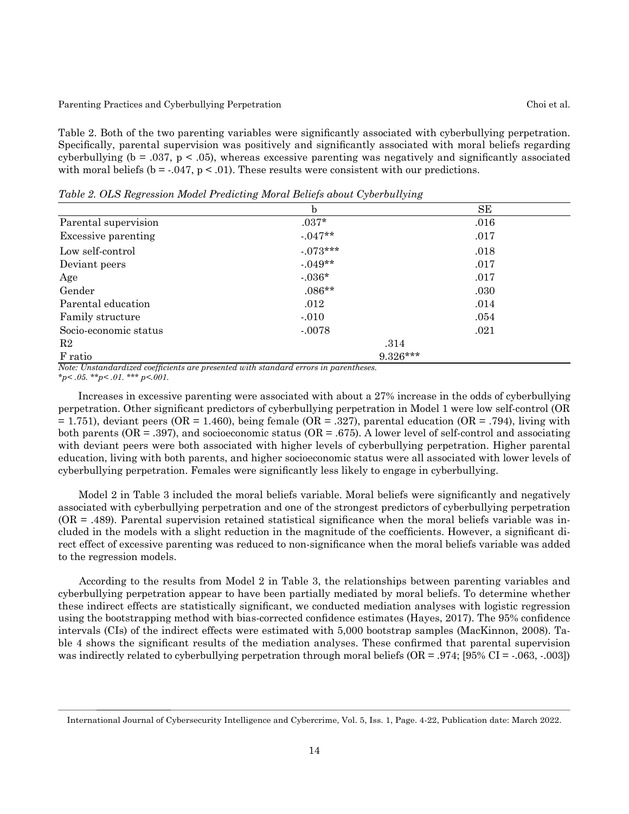Table 2. Both of the two parenting variables were significantly associated with cyberbullying perpetration. Specifically, parental supervision was positively and significantly associated with moral beliefs regarding cyberbullying ( $b = .037$ ,  $p < .05$ ), whereas excessive parenting was negatively and significantly associated with moral beliefs ( $b = 0.047$ ,  $p < 0.01$ ). These results were consistent with our predictions.

b SE Parental supervision  $.037*$  .016 Excessive parenting  $.047**$  .017 Low self-control  $.073***$  .018 Deviant peers .017 Age -.036\* .017 Gender .086\*\* .030 Parental education ... 012 ... 014 Family structure 0.054 Socio-economic status -.0078 .021  $R2 \t314$ F ratio 9.326\*\*\*

*Note: Unstandardized coefficients are presented with standard errors in parentheses. \*p< .05. \*\*p< .01. \*\*\* p<.001.*

 Increases in excessive parenting were associated with about a 27% increase in the odds of cyberbullying perpetration. Other significant predictors of cyberbullying perpetration in Model 1 were low self-control (OR  $= 1.751$ ), deviant peers (OR = 1.460), being female (OR = .327), parental education (OR = .794), living with both parents ( $OR = .397$ ), and socioeconomic status ( $OR = .675$ ). A lower level of self-control and associating with deviant peers were both associated with higher levels of cyberbullying perpetration. Higher parental education, living with both parents, and higher socioeconomic status were all associated with lower levels of cyberbullying perpetration. Females were significantly less likely to engage in cyberbullying.

 Model 2 in Table 3 included the moral beliefs variable. Moral beliefs were significantly and negatively associated with cyberbullying perpetration and one of the strongest predictors of cyberbullying perpetration  $(OR = .489)$ . Parental supervision retained statistical significance when the moral beliefs variable was included in the models with a slight reduction in the magnitude of the coefficients. However, a significant direct effect of excessive parenting was reduced to non-significance when the moral beliefs variable was added to the regression models.

 According to the results from Model 2 in Table 3, the relationships between parenting variables and cyberbullying perpetration appear to have been partially mediated by moral beliefs. To determine whether these indirect effects are statistically significant, we conducted mediation analyses with logistic regression using the bootstrapping method with bias-corrected confidence estimates (Hayes, 2017). The 95% confidence intervals (CIs) of the indirect effects were estimated with 5,000 bootstrap samples (MacKinnon, 2008). Table 4 shows the significant results of the mediation analyses. These confirmed that parental supervision was indirectly related to cyberbullying perpetration through moral beliefs (OR = .974; [95% CI = -.063, -.003])

International Journal of Cybersecurity Intelligence and Cybercrime, Vol. 5, Iss. 1, Page. 4-22, Publication date: March 2022.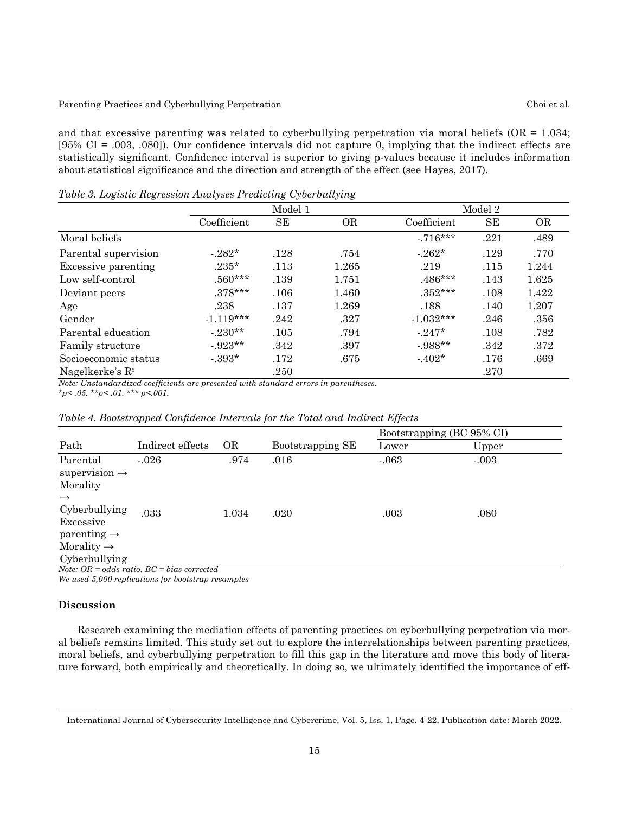and that excessive parenting was related to cyberbullying perpetration via moral beliefs ( $OR = 1.034$ ; [95% CI = .003, .080]). Our confidence intervals did not capture 0, implying that the indirect effects are statistically significant. Confidence interval is superior to giving p-values because it includes information about statistical significance and the direction and strength of the effect (see Hayes, 2017).

| Twore of Logistic Tregi coolori Than 1960 Treatening Croci bannying |             |      |           |             |      |           |
|---------------------------------------------------------------------|-------------|------|-----------|-------------|------|-----------|
|                                                                     | Model 1     |      |           | Model 2     |      |           |
|                                                                     | Coefficient | SЕ   | <b>OR</b> | Coefficient | SЕ   | <b>OR</b> |
| Moral beliefs                                                       |             |      |           | $-716***$   | .221 | .489      |
| Parental supervision                                                | $-282*$     | .128 | .754      | $-262*$     | .129 | .770      |
| Excessive parenting                                                 | $.235*$     | .113 | 1.265     | .219        | .115 | 1.244     |
| Low self-control                                                    | $.560***$   | .139 | 1.751     | $.486***$   | .143 | 1.625     |
| Deviant peers                                                       | $.378***$   | .106 | 1.460     | $.352***$   | .108 | 1.422     |
| Age                                                                 | .238        | .137 | 1.269     | .188        | .140 | 1.207     |
| Gender                                                              | $-1.119***$ | .242 | .327      | $-1.032***$ | .246 | .356      |
| Parental education                                                  | $-0.230**$  | .105 | .794      | $-0.247*$   | .108 | .782      |
| Family structure                                                    | $-923**$    | .342 | .397      | $-988**$    | .342 | .372      |
| Socioeconomic status                                                | $-393*$     | .172 | .675      | $-402*$     | .176 | .669      |
| Nagelkerke's $\mathbb{R}^2$                                         |             | .250 |           |             | .270 |           |

*Table 3. Logistic Regression Analyses Predicting Cyberbullying*

*Note: Unstandardized coefficients are presented with standard errors in parentheses. \*p< .05. \*\*p< .01. \*\*\* p<.001.*

|                                                                                                  |                                                                                                    |           |                  | Bootstrapping (BC 95% CI) |         |
|--------------------------------------------------------------------------------------------------|----------------------------------------------------------------------------------------------------|-----------|------------------|---------------------------|---------|
| Path                                                                                             | Indirect effects                                                                                   | <b>OR</b> | Bootstrapping SE | Lower                     | Upper   |
| Parental<br>supervision $\rightarrow$<br>Morality                                                | $-.026$                                                                                            | .974      | .016             | $-.063$                   | $-.003$ |
| $\rightarrow$<br>Cyberbullying<br>Excessive<br>parenting $\rightarrow$<br>Morality $\rightarrow$ | .033                                                                                               | 1.034     | .020             | .003                      | .080    |
| Cyberbullying                                                                                    | $N_{\text{min}}$ $\Omega R = -dJ_{\text{min}}$ $\Omega C = k_{\text{max}}$ $\Omega L_{\text{max}}$ |           |                  |                           |         |

*Note: OR = odds ratio. BC = bias corrected We used 5,000 replications for bootstrap resamples*

## **Discussion**

Research examining the mediation effects of parenting practices on cyberbullying perpetration via moral beliefs remains limited. This study set out to explore the interrelationships between parenting practices, moral beliefs, and cyberbullying perpetration to fill this gap in the literature and move this body of literature forward, both empirically and theoretically. In doing so, we ultimately identified the importance of eff-

International Journal of Cybersecurity Intelligence and Cybercrime, Vol. 5, Iss. 1, Page. 4-22, Publication date: March 2022.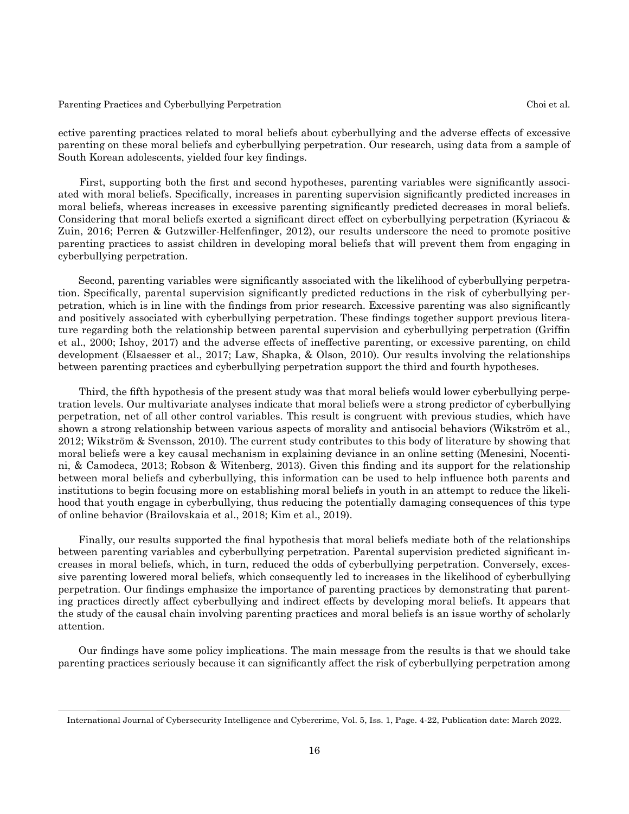ective parenting practices related to moral beliefs about cyberbullying and the adverse effects of excessive parenting on these moral beliefs and cyberbullying perpetration. Our research, using data from a sample of South Korean adolescents, yielded four key findings.

First, supporting both the first and second hypotheses, parenting variables were significantly associated with moral beliefs. Specifically, increases in parenting supervision significantly predicted increases in moral beliefs, whereas increases in excessive parenting significantly predicted decreases in moral beliefs. Considering that moral beliefs exerted a significant direct effect on cyberbullying perpetration (Kyriacou & Zuin, 2016; Perren & Gutzwiller-Helfenfinger, 2012), our results underscore the need to promote positive parenting practices to assist children in developing moral beliefs that will prevent them from engaging in cyberbullying perpetration.

Second, parenting variables were significantly associated with the likelihood of cyberbullying perpetration. Specifically, parental supervision significantly predicted reductions in the risk of cyberbullying perpetration, which is in line with the findings from prior research. Excessive parenting was also significantly and positively associated with cyberbullying perpetration. These findings together support previous literature regarding both the relationship between parental supervision and cyberbullying perpetration (Griffin et al., 2000; Ishoy, 2017) and the adverse effects of ineffective parenting, or excessive parenting, on child development (Elsaesser et al., 2017; Law, Shapka, & Olson, 2010). Our results involving the relationships between parenting practices and cyberbullying perpetration support the third and fourth hypotheses.

Third, the fifth hypothesis of the present study was that moral beliefs would lower cyberbullying perpetration levels. Our multivariate analyses indicate that moral beliefs were a strong predictor of cyberbullying perpetration, net of all other control variables. This result is congruent with previous studies, which have shown a strong relationship between various aspects of morality and antisocial behaviors (Wikström et al., 2012; Wikström & Svensson, 2010). The current study contributes to this body of literature by showing that moral beliefs were a key causal mechanism in explaining deviance in an online setting (Menesini, Nocentini, & Camodeca, 2013; Robson & Witenberg, 2013). Given this finding and its support for the relationship between moral beliefs and cyberbullying, this information can be used to help influence both parents and institutions to begin focusing more on establishing moral beliefs in youth in an attempt to reduce the likelihood that youth engage in cyberbullying, thus reducing the potentially damaging consequences of this type of online behavior (Brailovskaia et al., 2018; Kim et al., 2019).

Finally, our results supported the final hypothesis that moral beliefs mediate both of the relationships between parenting variables and cyberbullying perpetration. Parental supervision predicted significant increases in moral beliefs, which, in turn, reduced the odds of cyberbullying perpetration. Conversely, excessive parenting lowered moral beliefs, which consequently led to increases in the likelihood of cyberbullying perpetration. Our findings emphasize the importance of parenting practices by demonstrating that parenting practices directly affect cyberbullying and indirect effects by developing moral beliefs. It appears that the study of the causal chain involving parenting practices and moral beliefs is an issue worthy of scholarly attention.

Our findings have some policy implications. The main message from the results is that we should take parenting practices seriously because it can significantly affect the risk of cyberbullying perpetration among

International Journal of Cybersecurity Intelligence and Cybercrime, Vol. 5, Iss. 1, Page. 4-22, Publication date: March 2022.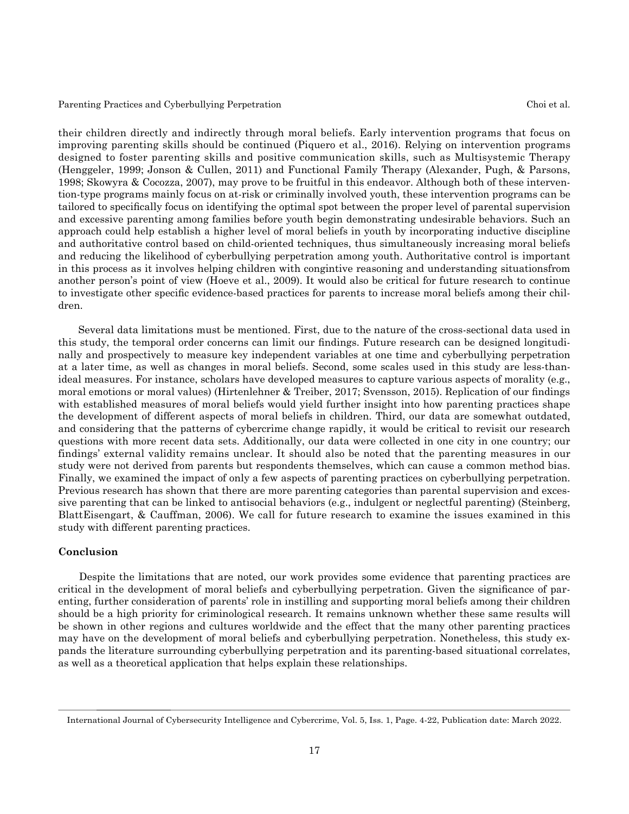their children directly and indirectly through moral beliefs. Early intervention programs that focus on improving parenting skills should be continued (Piquero et al., 2016). Relying on intervention programs designed to foster parenting skills and positive communication skills, such as Multisystemic Therapy (Henggeler, 1999; Jonson & Cullen, 2011) and Functional Family Therapy (Alexander, Pugh, & Parsons, 1998; Skowyra & Cocozza, 2007), may prove to be fruitful in this endeavor. Although both of these intervention-type programs mainly focus on at-risk or criminally involved youth, these intervention programs can be tailored to specifically focus on identifying the optimal spot between the proper level of parental supervision and excessive parenting among families before youth begin demonstrating undesirable behaviors. Such an approach could help establish a higher level of moral beliefs in youth by incorporating inductive discipline and authoritative control based on child-oriented techniques, thus simultaneously increasing moral beliefs and reducing the likelihood of cyberbullying perpetration among youth. Authoritative control is important in this process as it involves helping children with congintive reasoning and understanding situationsfrom another person's point of view (Hoeve et al., 2009). It would also be critical for future research to continue to investigate other specific evidence-based practices for parents to increase moral beliefs among their children.

Several data limitations must be mentioned. First, due to the nature of the cross-sectional data used in this study, the temporal order concerns can limit our findings. Future research can be designed longitudinally and prospectively to measure key independent variables at one time and cyberbullying perpetration at a later time, as well as changes in moral beliefs. Second, some scales used in this study are less-thanideal measures. For instance, scholars have developed measures to capture various aspects of morality (e.g., moral emotions or moral values) (Hirtenlehner & Treiber, 2017; Svensson, 2015). Replication of our findings with established measures of moral beliefs would yield further insight into how parenting practices shape the development of different aspects of moral beliefs in children. Third, our data are somewhat outdated, and considering that the patterns of cybercrime change rapidly, it would be critical to revisit our research questions with more recent data sets. Additionally, our data were collected in one city in one country; our findings' external validity remains unclear. It should also be noted that the parenting measures in our study were not derived from parents but respondents themselves, which can cause a common method bias. Finally, we examined the impact of only a few aspects of parenting practices on cyberbullying perpetration. Previous research has shown that there are more parenting categories than parental supervision and excessive parenting that can be linked to antisocial behaviors (e.g., indulgent or neglectful parenting) (Steinberg, BlattEisengart, & Cauffman, 2006). We call for future research to examine the issues examined in this study with different parenting practices.

### **Conclusion**

Despite the limitations that are noted, our work provides some evidence that parenting practices are critical in the development of moral beliefs and cyberbullying perpetration. Given the significance of parenting, further consideration of parents' role in instilling and supporting moral beliefs among their children should be a high priority for criminological research. It remains unknown whether these same results will be shown in other regions and cultures worldwide and the effect that the many other parenting practices may have on the development of moral beliefs and cyberbullying perpetration. Nonetheless, this study expands the literature surrounding cyberbullying perpetration and its parenting-based situational correlates, as well as a theoretical application that helps explain these relationships.

International Journal of Cybersecurity Intelligence and Cybercrime, Vol. 5, Iss. 1, Page. 4-22, Publication date: March 2022.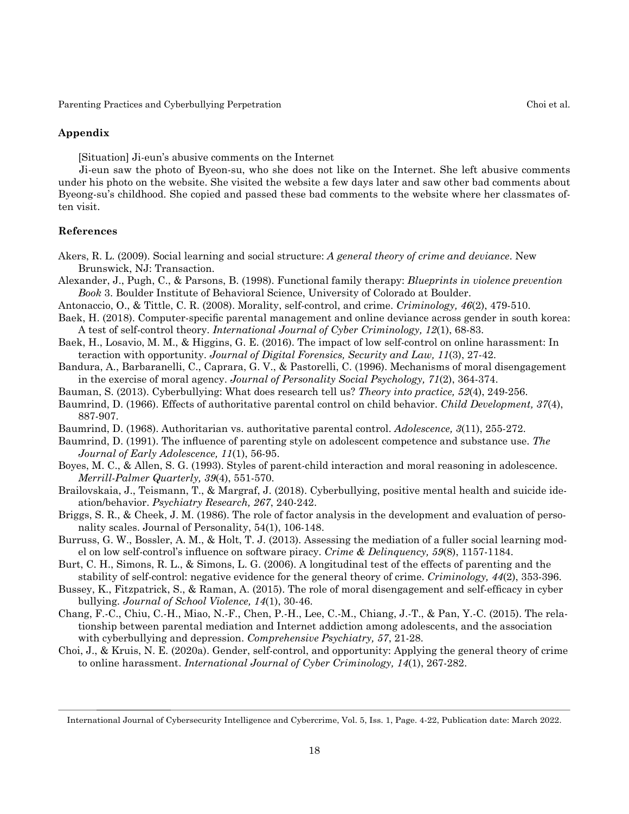## **Appendix**

[Situation] Ji-eun's abusive comments on the Internet

Ji-eun saw the photo of Byeon-su, who she does not like on the Internet. She left abusive comments under his photo on the website. She visited the website a few days later and saw other bad comments about Byeong-su's childhood. She copied and passed these bad comments to the website where her classmates often visit.

## **References**

- Akers, R. L. (2009). Social learning and social structure: *A general theory of crime and deviance*. New Brunswick, NJ: Transaction.
- Alexander, J., Pugh, C., & Parsons, B. (1998). Functional family therapy: *Blueprints in violence prevention Book* 3. Boulder Institute of Behavioral Science, University of Colorado at Boulder.
- Antonaccio, O., & Tittle, C. R. (2008). Morality, self-control, and crime. *Criminology, 46*(2), 479-510.
- Baek, H. (2018). Computer-specific parental management and online deviance across gender in south korea: A test of self-control theory. *International Journal of Cyber Criminology, 12*(1), 68-83.
- Baek, H., Losavio, M. M., & Higgins, G. E. (2016). The impact of low self-control on online harassment: In teraction with opportunity. *Journal of Digital Forensics, Security and Law, 11*(3), 27-42.
- Bandura, A., Barbaranelli, C., Caprara, G. V., & Pastorelli, C. (1996). Mechanisms of moral disengagement in the exercise of moral agency. *Journal of Personality Social Psychology, 71*(2), 364-374.
- Bauman, S. (2013). Cyberbullying: What does research tell us? *Theory into practice, 52*(4), 249-256.
- Baumrind, D. (1966). Effects of authoritative parental control on child behavior. *Child Development, 37*(4), 887-907.
- Baumrind, D. (1968). Authoritarian vs. authoritative parental control. *Adolescence, 3*(11), 255-272.
- Baumrind, D. (1991). The influence of parenting style on adolescent competence and substance use. *The Journal of Early Adolescence, 11*(1), 56-95.
- Boyes, M. C., & Allen, S. G. (1993). Styles of parent-child interaction and moral reasoning in adolescence. *Merrill-Palmer Quarterly, 39*(4), 551-570.
- Brailovskaia, J., Teismann, T., & Margraf, J. (2018). Cyberbullying, positive mental health and suicide ideation/behavior. *Psychiatry Research, 267*, 240-242.
- Briggs, S. R., & Cheek, J. M. (1986). The role of factor analysis in the development and evaluation of personality scales. Journal of Personality, 54(1), 106-148.
- Burruss, G. W., Bossler, A. M., & Holt, T. J. (2013). Assessing the mediation of a fuller social learning model on low self-control's influence on software piracy. *Crime & Delinquency, 59*(8), 1157-1184.
- Burt, C. H., Simons, R. L., & Simons, L. G. (2006). A longitudinal test of the effects of parenting and the stability of self-control: negative evidence for the general theory of crime. *Criminology, 44*(2), 353-396.
- Bussey, K., Fitzpatrick, S., & Raman, A. (2015). The role of moral disengagement and self-efficacy in cyber bullying. *Journal of School Violence, 14*(1), 30-46.
- Chang, F.-C., Chiu, C.-H., Miao, N.-F., Chen, P.-H., Lee, C.-M., Chiang, J.-T., & Pan, Y.-C. (2015). The relationship between parental mediation and Internet addiction among adolescents, and the association with cyberbullying and depression. *Comprehensive Psychiatry, 57*, 21-28.
- Choi, J., & Kruis, N. E. (2020a). Gender, self-control, and opportunity: Applying the general theory of crime to online harassment. *International Journal of Cyber Criminology, 14*(1), 267-282.

International Journal of Cybersecurity Intelligence and Cybercrime, Vol. 5, Iss. 1, Page. 4-22, Publication date: March 2022.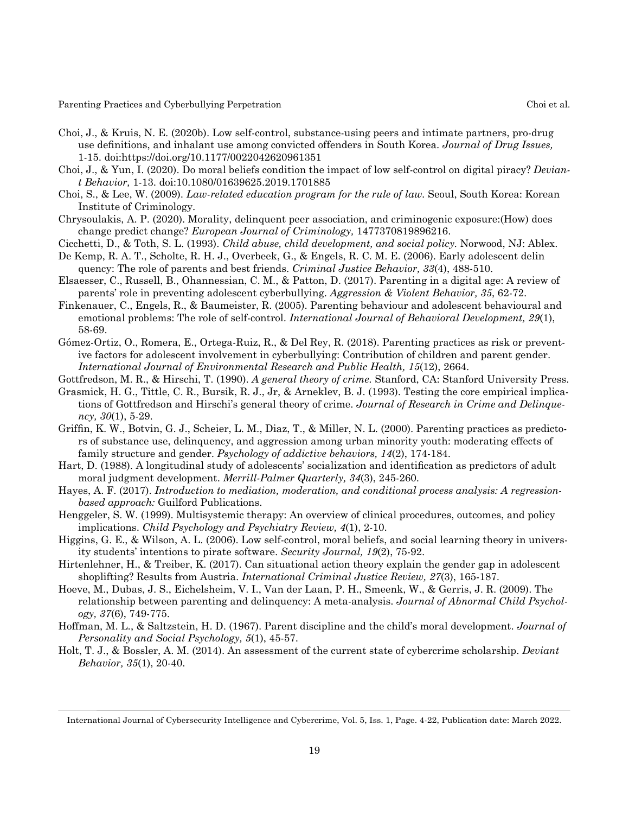- Choi, J., & Kruis, N. E. (2020b). Low self-control, substance-using peers and intimate partners, pro-drug use definitions, and inhalant use among convicted offenders in South Korea. *Journal of Drug Issues,* 1-15. doi:https://doi.org/10.1177/0022042620961351
- Choi, J., & Yun, I. (2020). Do moral beliefs condition the impact of low self-control on digital piracy? *Deviant Behavior,* 1-13. doi:10.1080/01639625.2019.1701885
- Choi, S., & Lee, W. (2009). *Law-related education program for the rule of law.* Seoul, South Korea: Korean Institute of Criminology.
- Chrysoulakis, A. P. (2020). Morality, delinquent peer association, and criminogenic exposure:(How) does change predict change? *European Journal of Criminology,* 1477370819896216.
- Cicchetti, D., & Toth, S. L. (1993). *Child abuse, child development, and social policy.* Norwood, NJ: Ablex.
- De Kemp, R. A. T., Scholte, R. H. J., Overbeek, G., & Engels, R. C. M. E. (2006). Early adolescent delin quency: The role of parents and best friends. *Criminal Justice Behavior, 33*(4), 488-510.
- Elsaesser, C., Russell, B., Ohannessian, C. M., & Patton, D. (2017). Parenting in a digital age: A review of parents' role in preventing adolescent cyberbullying. *Aggression & Violent Behavior, 35*, 62-72.
- Finkenauer, C., Engels, R., & Baumeister, R. (2005). Parenting behaviour and adolescent behavioural and emotional problems: The role of self-control. *International Journal of Behavioral Development, 29*(1), 58-69.
- Gómez-Ortiz, O., Romera, E., Ortega-Ruiz, R., & Del Rey, R. (2018). Parenting practices as risk or preventive factors for adolescent involvement in cyberbullying: Contribution of children and parent gender. *International Journal of Environmental Research and Public Health, 15*(12), 2664.
- Gottfredson, M. R., & Hirschi, T. (1990). *A general theory of crime.* Stanford, CA: Stanford University Press.
- Grasmick, H. G., Tittle, C. R., Bursik, R. J., Jr, & Arneklev, B. J. (1993). Testing the core empirical implications of Gottfredson and Hirschi's general theory of crime. *Journal of Research in Crime and Delinquency, 30*(1), 5-29.
- Griffin, K. W., Botvin, G. J., Scheier, L. M., Diaz, T., & Miller, N. L. (2000). Parenting practices as predictors of substance use, delinquency, and aggression among urban minority youth: moderating effects of family structure and gender. *Psychology of addictive behaviors, 14*(2), 174-184.
- Hart, D. (1988). A longitudinal study of adolescents' socialization and identification as predictors of adult moral judgment development. *Merrill-Palmer Quarterly, 34*(3), 245-260.
- Hayes, A. F. (2017). *Introduction to mediation, moderation, and conditional process analysis: A regressionbased approach:* Guilford Publications.
- Henggeler, S. W. (1999). Multisystemic therapy: An overview of clinical procedures, outcomes, and policy implications. *Child Psychology and Psychiatry Review, 4*(1), 2-10.
- Higgins, G. E., & Wilson, A. L. (2006). Low self-control, moral beliefs, and social learning theory in university students' intentions to pirate software. *Security Journal, 19*(2), 75-92.
- Hirtenlehner, H., & Treiber, K. (2017). Can situational action theory explain the gender gap in adolescent shoplifting? Results from Austria. *International Criminal Justice Review, 27*(3), 165-187.
- Hoeve, M., Dubas, J. S., Eichelsheim, V. I., Van der Laan, P. H., Smeenk, W., & Gerris, J. R. (2009). The relationship between parenting and delinquency: A meta-analysis. *Journal of Abnormal Child Psychology, 37*(6), 749-775.
- Hoffman, M. L., & Saltzstein, H. D. (1967). Parent discipline and the child's moral development. *Journal of Personality and Social Psychology, 5*(1), 45-57.
- Holt, T. J., & Bossler, A. M. (2014). An assessment of the current state of cybercrime scholarship. *Deviant Behavior, 35*(1), 20-40.

19

International Journal of Cybersecurity Intelligence and Cybercrime, Vol. 5, Iss. 1, Page. 4-22, Publication date: March 2022.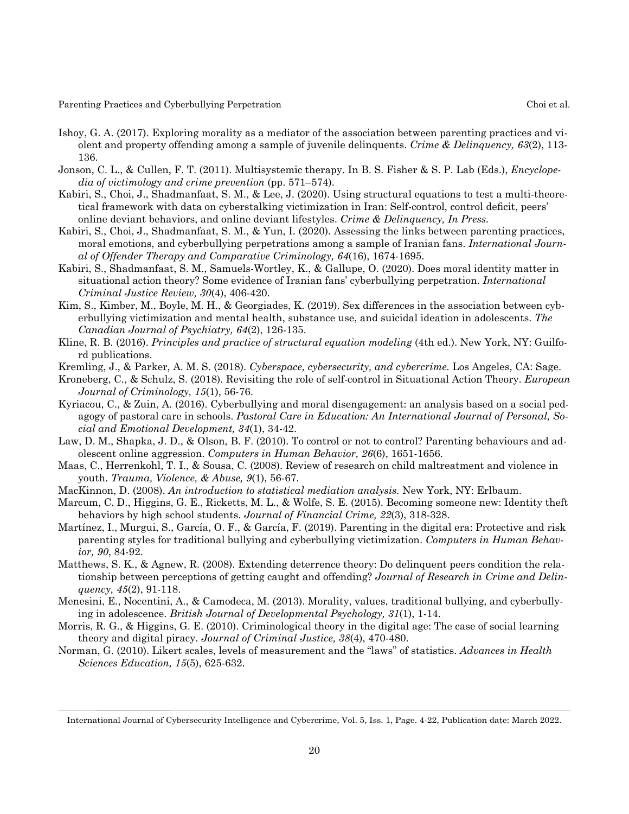- Ishoy, G. A. (2017). Exploring morality as a mediator of the association between parenting practices and violent and property offending among a sample of juvenile delinquents. *Crime & Delinquency, 63*(2), 113- 136.
- Jonson, C. L., & Cullen, F. T. (2011). Multisystemic therapy. In B. S. Fisher & S. P. Lab (Eds.), *Encyclopedia of victimology and crime prevention* (pp. 571–574).
- Kabiri, S., Choi, J., Shadmanfaat, S. M., & Lee, J. (2020). Using structural equations to test a multi-theoretical framework with data on cyberstalking victimization in Iran: Self-control, control deficit, peers' online deviant behaviors, and online deviant lifestyles. *Crime & Delinquency, In Press.*
- Kabiri, S., Choi, J., Shadmanfaat, S. M., & Yun, I. (2020). Assessing the links between parenting practices, moral emotions, and cyberbullying perpetrations among a sample of Iranian fans. *International Journal of Offender Therapy and Comparative Criminology, 64*(16), 1674-1695.
- Kabiri, S., Shadmanfaat, S. M., Samuels-Wortley, K., & Gallupe, O. (2020). Does moral identity matter in situational action theory? Some evidence of Iranian fans' cyberbullying perpetration. *International Criminal Justice Review, 30*(4), 406-420.
- Kim, S., Kimber, M., Boyle, M. H., & Georgiades, K. (2019). Sex differences in the association between cyberbullying victimization and mental health, substance use, and suicidal ideation in adolescents. *The Canadian Journal of Psychiatry, 64*(2), 126-135.
- Kline, R. B. (2016). *Principles and practice of structural equation modeling* (4th ed.). New York, NY: Guilford publications.
- Kremling, J., & Parker, A. M. S. (2018). *Cyberspace, cybersecurity, and cybercrime.* Los Angeles, CA: Sage.
- Kroneberg, C., & Schulz, S. (2018). Revisiting the role of self-control in Situational Action Theory. *European Journal of Criminology, 15*(1), 56-76.
- Kyriacou, C., & Zuin, A. (2016). Cyberbullying and moral disengagement: an analysis based on a social pedagogy of pastoral care in schools. *Pastoral Care in Education: An International Journal of Personal, Social and Emotional Development, 34*(1), 34-42.
- Law, D. M., Shapka, J. D., & Olson, B. F. (2010). To control or not to control? Parenting behaviours and adolescent online aggression. *Computers in Human Behavior, 26*(6), 1651-1656.
- Maas, C., Herrenkohl, T. I., & Sousa, C. (2008). Review of research on child maltreatment and violence in youth. *Trauma, Violence, & Abuse, 9*(1), 56-67.
- MacKinnon, D. (2008). *An introduction to statistical mediation analysis.* New York, NY: Erlbaum.
- Marcum, C. D., Higgins, G. E., Ricketts, M. L., & Wolfe, S. E. (2015). Becoming someone new: Identity theft behaviors by high school students. *Journal of Financial Crime, 22*(3), 318-328.
- Martínez, I., Murgui, S., García, O. F., & García, F. (2019). Parenting in the digital era: Protective and risk parenting styles for traditional bullying and cyberbullying victimization. *Computers in Human Behavior, 90*, 84-92.
- Matthews, S. K., & Agnew, R. (2008). Extending deterrence theory: Do delinquent peers condition the relationship between perceptions of getting caught and offending? *Journal of Research in Crime and Delinquency, 45*(2), 91-118.
- Menesini, E., Nocentini, A., & Camodeca, M. (2013). Morality, values, traditional bullying, and cyberbullying in adolescence. *British Journal of Developmental Psychology, 31*(1), 1-14.
- Morris, R. G., & Higgins, G. E. (2010). Criminological theory in the digital age: The case of social learning theory and digital piracy. *Journal of Criminal Justice, 38*(4), 470-480.
- Norman, G. (2010). Likert scales, levels of measurement and the "laws" of statistics. *Advances in Health Sciences Education, 15*(5), 625-632.

20

International Journal of Cybersecurity Intelligence and Cybercrime, Vol. 5, Iss. 1, Page. 4-22, Publication date: March 2022.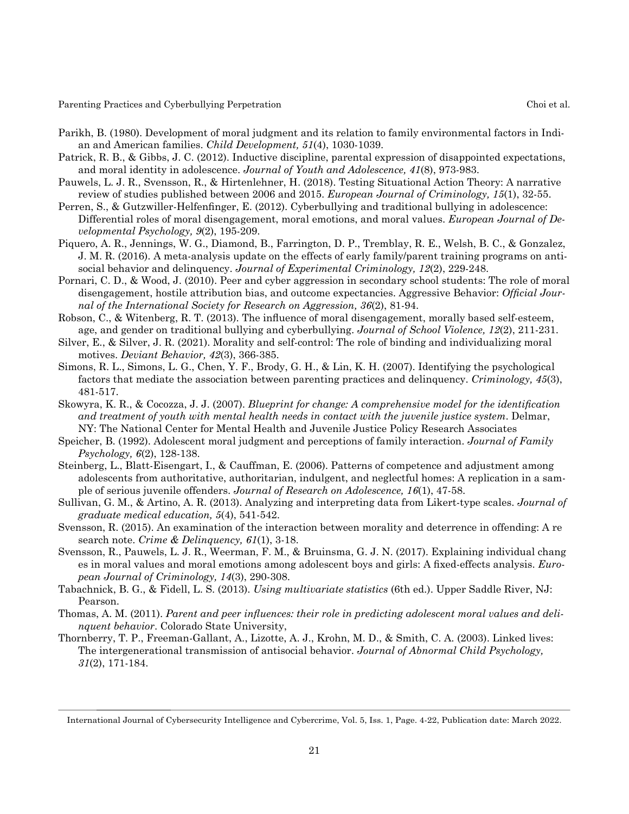- Parikh, B. (1980). Development of moral judgment and its relation to family environmental factors in Indian and American families. *Child Development, 51*(4), 1030-1039.
- Patrick, R. B., & Gibbs, J. C. (2012). Inductive discipline, parental expression of disappointed expectations, and moral identity in adolescence. *Journal of Youth and Adolescence, 41*(8), 973-983.
- Pauwels, L. J. R., Svensson, R., & Hirtenlehner, H. (2018). Testing Situational Action Theory: A narrative review of studies published between 2006 and 2015. *European Journal of Criminology, 15*(1), 32-55.
- Perren, S., & Gutzwiller-Helfenfinger, E. (2012). Cyberbullying and traditional bullying in adolescence: Differential roles of moral disengagement, moral emotions, and moral values. *European Journal of Developmental Psychology, 9*(2), 195-209.
- Piquero, A. R., Jennings, W. G., Diamond, B., Farrington, D. P., Tremblay, R. E., Welsh, B. C., & Gonzalez, J. M. R. (2016). A meta-analysis update on the effects of early family/parent training programs on antisocial behavior and delinquency. *Journal of Experimental Criminology, 12*(2), 229-248.
- Pornari, C. D., & Wood, J. (2010). Peer and cyber aggression in secondary school students: The role of moral disengagement, hostile attribution bias, and outcome expectancies. Aggressive Behavior: *Official Journal of the International Society for Research on Aggression, 36*(2), 81-94.
- Robson, C., & Witenberg, R. T. (2013). The influence of moral disengagement, morally based self-esteem, age, and gender on traditional bullying and cyberbullying. *Journal of School Violence, 12*(2), 211-231.
- Silver, E., & Silver, J. R. (2021). Morality and self-control: The role of binding and individualizing moral motives. *Deviant Behavior, 42*(3), 366-385.
- Simons, R. L., Simons, L. G., Chen, Y. F., Brody, G. H., & Lin, K. H. (2007). Identifying the psychological factors that mediate the association between parenting practices and delinquency. *Criminology, 45*(3), 481-517.
- Skowyra, K. R., & Cocozza, J. J. (2007). *Blueprint for change: A comprehensive model for the identification and treatment of youth with mental health needs in contact with the juvenile justice system*. Delmar, NY: The National Center for Mental Health and Juvenile Justice Policy Research Associates
- Speicher, B. (1992). Adolescent moral judgment and perceptions of family interaction. *Journal of Family Psychology, 6*(2), 128-138.
- Steinberg, L., Blatt-Eisengart, I., & Cauffman, E. (2006). Patterns of competence and adjustment among adolescents from authoritative, authoritarian, indulgent, and neglectful homes: A replication in a sample of serious juvenile offenders. *Journal of Research on Adolescence, 16*(1), 47-58.
- Sullivan, G. M., & Artino, A. R. (2013). Analyzing and interpreting data from Likert-type scales. *Journal of graduate medical education, 5*(4), 541-542.
- Svensson, R. (2015). An examination of the interaction between morality and deterrence in offending: A re search note. *Crime & Delinquency, 61*(1), 3-18.
- Svensson, R., Pauwels, L. J. R., Weerman, F. M., & Bruinsma, G. J. N. (2017). Explaining individual chang es in moral values and moral emotions among adolescent boys and girls: A fixed-effects analysis. *European Journal of Criminology, 14*(3), 290-308.
- Tabachnick, B. G., & Fidell, L. S. (2013). *Using multivariate statistics* (6th ed.). Upper Saddle River, NJ: Pearson.
- Thomas, A. M. (2011). *Parent and peer influences: their role in predicting adolescent moral values and delinquent behavior*. Colorado State University,
- Thornberry, T. P., Freeman-Gallant, A., Lizotte, A. J., Krohn, M. D., & Smith, C. A. (2003). Linked lives: The intergenerational transmission of antisocial behavior. *Journal of Abnormal Child Psychology, 31*(2), 171-184.

21

International Journal of Cybersecurity Intelligence and Cybercrime, Vol. 5, Iss. 1, Page. 4-22, Publication date: March 2022.